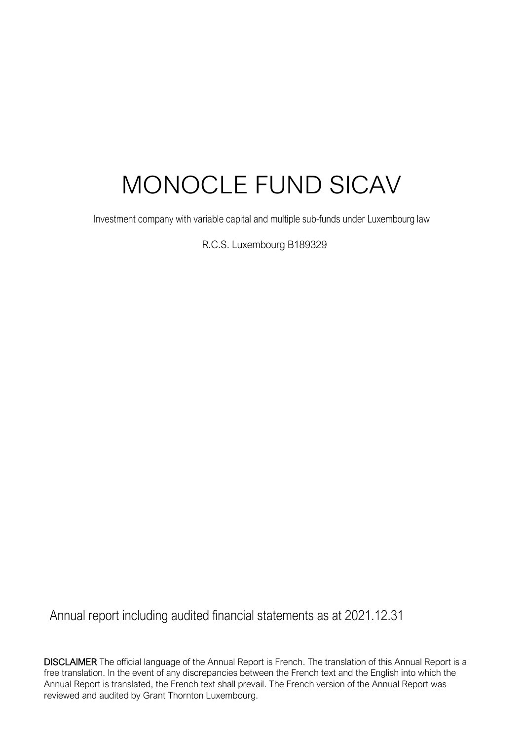# MONOCLE FUND SICAV

Investment company with variable capital and multiple sub-funds under Luxembourg law

R.C.S. Luxembourg B189329

Annual report including audited financial statements as at 2021.12.31

DISCLAIMER The official language of the Annual Report is French. The translation of this Annual Report is a free translation. In the event of any discrepancies between the French text and the English into which the Annual Report is translated, the French text shall prevail. The French version of the Annual Report was reviewed and audited by Grant Thornton Luxembourg.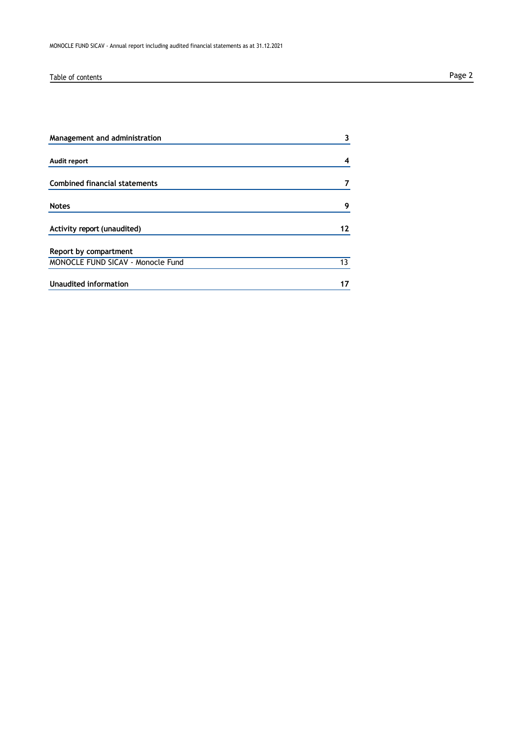# Table of contents **Page 2**

| Management and administration        | 3  |
|--------------------------------------|----|
| <b>Audit report</b>                  | 4  |
| <b>Combined financial statements</b> |    |
| <b>Notes</b>                         | 9  |
| Activity report (unaudited)          | 12 |
| Report by compartment                |    |
| MONOCLE FUND SICAV - Monocle Fund    | 13 |
| Unaudited information                |    |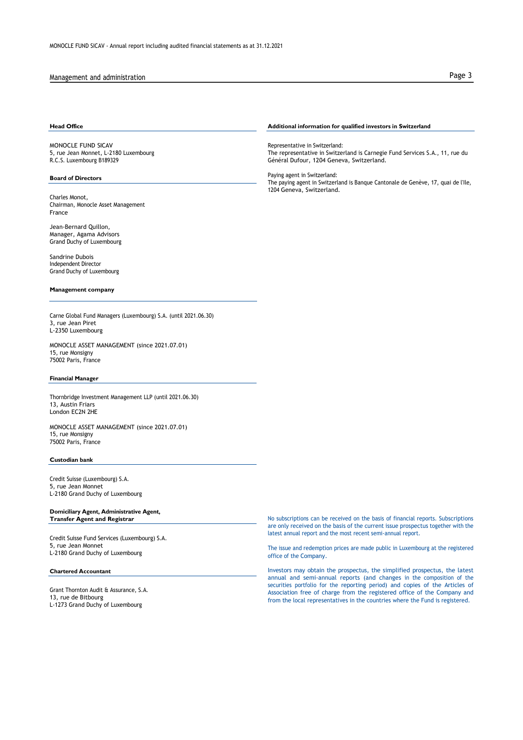### Management and administration **Page 3** and the page 3 and the page 3 and the page 3 and the page 3 and the page 3 and the page 3 and the page 3 and the page 3 and the page 3 and the page 3 and the page 3 and the page 3 and

MONOCLE FUND SICAV 5, rue Jean Monnet, L-2180 Luxembourg R.C.S. Luxembourg B189329

### **Board of Directors**

Charles Monot, Chairman, Monocle Asset Management France

Jean-Bernard Quillon, Manager, Agama Advisors Grand Duchy of Luxembourg

Sandrine Dubois Independent Director Grand Duchy of Luxembourg

### **Management company**

Carne Global Fund Managers (Luxembourg) S.A. (until 2021.06.30) 3, rue Jean Piret L-2350 Luxembourg

MONOCLE ASSET MANAGEMENT (since 2021.07.01) 15, rue Monsigny 75002 Paris, France

### **Financial Manager**

Thornbridge Investment Management LLP (until 2021.06.30) 13, Austin Friars London EC2N 2HE

MONOCLE ASSET MANAGEMENT (since 2021.07.01) 15, rue Monsigny 75002 Paris, France

### **Custodian bank**

Credit Suisse (Luxembourg) S.A. 5, rue Jean Monnet L-2180 Grand Duchy of Luxembourg

### **Domiciliary Agent, Administrative Agent, Transfer Agent and Registrar**

Credit Suisse Fund Services (Luxembourg) S.A. 5, rue Jean Monnet L-2180 Grand Duchy of Luxembourg

### **Chartered Accountant**

Grant Thornton Audit & Assurance, S.A. 13, rue de Bitbourg L-1273 Grand Duchy of Luxembourg

### **Head Office Additional information for qualified investors in Switzerland**

Representative in Switzerland: The representative in Switzerland is Carnegie Fund Services S.A., 11, rue du Général Dufour, 1204 Geneva, Switzerland.

Paying agent in Switzerland: The paying agent in Switzerland is Banque Cantonale de Genève, 17, quai de l'Ile, 1204 Geneva, Switzerland.

No subscriptions can be received on the basis of financial reports. Subscriptions are only received on the basis of the current issue prospectus together with the latest annual report and the most recent semi-annual report.

The issue and redemption prices are made public in Luxembourg at the registered office of the Company.

Investors may obtain the prospectus, the simplified prospectus, the latest annual and semi-annual reports (and changes in the composition of the securities portfolio for the reporting period) and copies of the Articles of Association free of charge from the registered office of the Company and from the local representatives in the countries where the Fund is registered.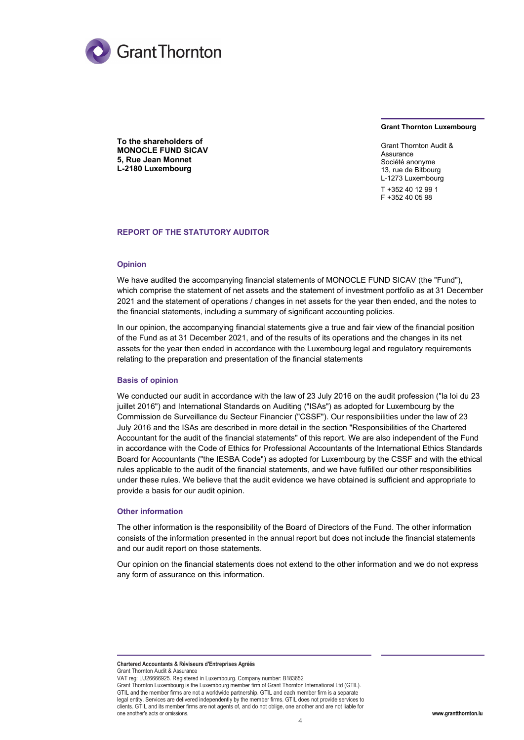

### **Grant Thornton Luxembourg**

**To the shareholders of MONOCLE FUND SICAV 5, Rue Jean Monnet L-2180 Luxembourg**

Grant Thornton Audit & **Assurance** Société anonyme 13, rue de Bitbourg L-1273 Luxembourg T +352 40 12 99 1 F +352 40 05 98

### **REPORT OF THE STATUTORY AUDITOR**

### **Opinion**

We have audited the accompanying financial statements of MONOCLE FUND SICAV (the "Fund"), which comprise the statement of net assets and the statement of investment portfolio as at 31 December 2021 and the statement of operations / changes in net assets for the year then ended, and the notes to the financial statements, including a summary of significant accounting policies.

In our opinion, the accompanying financial statements give a true and fair view of the financial position of the Fund as at 31 December 2021, and of the results of its operations and the changes in its net assets for the year then ended in accordance with the Luxembourg legal and regulatory requirements relating to the preparation and presentation of the financial statements

### **Basis of opinion**

We conducted our audit in accordance with the law of 23 July 2016 on the audit profession ("la loi du 23 juillet 2016") and International Standards on Auditing ("ISAs") as adopted for Luxembourg by the Commission de Surveillance du Secteur Financier ("CSSF"). Our responsibilities under the law of 23 July 2016 and the ISAs are described in more detail in the section "Responsibilities of the Chartered Accountant for the audit of the financial statements" of this report. We are also independent of the Fund in accordance with the Code of Ethics for Professional Accountants of the International Ethics Standards Board for Accountants ("the IESBA Code") as adopted for Luxembourg by the CSSF and with the ethical rules applicable to the audit of the financial statements, and we have fulfilled our other responsibilities under these rules. We believe that the audit evidence we have obtained is sufficient and appropriate to provide a basis for our audit opinion.

### **Other information**

The other information is the responsibility of the Board of Directors of the Fund. The other information consists of the information presented in the annual report but does not include the financial statements and our audit report on those statements.

Our opinion on the financial statements does not extend to the other information and we do not express any form of assurance on this information.

**Chartered Accountants & Réviseurs d'Entreprises Agréés** Grant Thornton Audit & Assurance

VAT reg: LU26666925. Registered in Luxembourg. Company number: B183652 Grant Thornton Luxembourg is the Luxembourg member firm of Grant Thornton International Ltd (GTIL). GTIL and the member firms are not a worldwide partnership. GTIL and each member firm is a separate legal entity. Services are delivered independently by the member firms. GTIL does not provide services to clients. GTIL and its member firms are not agents of, and do not oblige, one another and are not liable for one another's acts or omissions. **[www.grantthornton.lu](http://www.grantthornton.lu/)**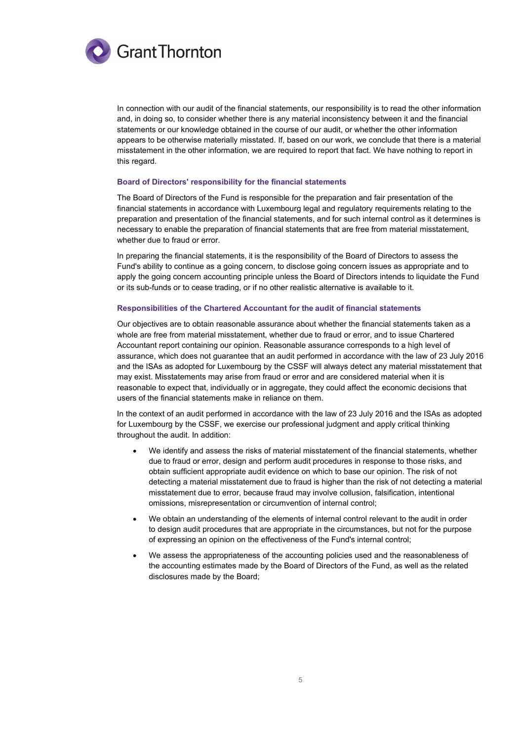

In connection with our audit of the financial statements, our responsibility is to read the other information and, in doing so, to consider whether there is any material inconsistency between it and the financial statements or our knowledge obtained in the course of our audit, or whether the other information appears to be otherwise materially misstated. If, based on our work, we conclude that there is a material misstatement in the other information, we are required to report that fact. We have nothing to report in this regard.

### **Board of Directors' responsibility for the financial statements**

The Board of Directors of the Fund is responsible for the preparation and fair presentation of the financial statements in accordance with Luxembourg legal and regulatory requirements relating to the preparation and presentation of the financial statements, and for such internal control as it determines is necessary to enable the preparation of financial statements that are free from material misstatement, whether due to fraud or error.

In preparing the financial statements, it is the responsibility of the Board of Directors to assess the Fund's ability to continue as a going concern, to disclose going concern issues as appropriate and to apply the going concern accounting principle unless the Board of Directors intends to liquidate the Fund or its sub-funds or to cease trading, or if no other realistic alternative is available to it.

### **Responsibilities of the Chartered Accountant for the audit of financial statements**

Our objectives are to obtain reasonable assurance about whether the financial statements taken as a whole are free from material misstatement, whether due to fraud or error, and to issue Chartered Accountant report containing our opinion. Reasonable assurance corresponds to a high level of assurance, which does not guarantee that an audit performed in accordance with the law of 23 July 2016 and the ISAs as adopted for Luxembourg by the CSSF will always detect any material misstatement that may exist. Misstatements may arise from fraud or error and are considered material when it is reasonable to expect that, individually or in aggregate, they could affect the economic decisions that users of the financial statements make in reliance on them.

In the context of an audit performed in accordance with the law of 23 July 2016 and the ISAs as adopted for Luxembourg by the CSSF, we exercise our professional judgment and apply critical thinking throughout the audit. In addition:

- We identify and assess the risks of material misstatement of the financial statements, whether due to fraud or error, design and perform audit procedures in response to those risks, and obtain sufficient appropriate audit evidence on which to base our opinion. The risk of not detecting a material misstatement due to fraud is higher than the risk of not detecting a material misstatement due to error, because fraud may involve collusion, falsification, intentional omissions, misrepresentation or circumvention of internal control;
- We obtain an understanding of the elements of internal control relevant to the audit in order to design audit procedures that are appropriate in the circumstances, but not for the purpose of expressing an opinion on the effectiveness of the Fund's internal control;
- We assess the appropriateness of the accounting policies used and the reasonableness of the accounting estimates made by the Board of Directors of the Fund, as well as the related disclosures made by the Board;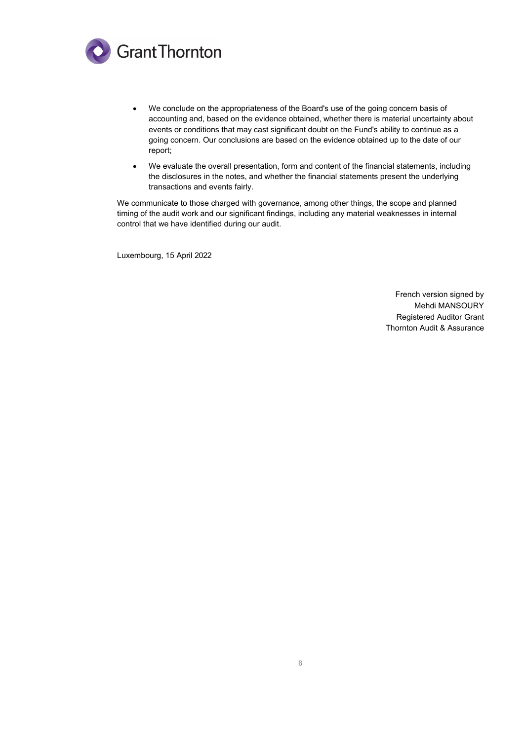

- We conclude on the appropriateness of the Board's use of the going concern basis of accounting and, based on the evidence obtained, whether there is material uncertainty about events or conditions that may cast significant doubt on the Fund's ability to continue as a going concern. Our conclusions are based on the evidence obtained up to the date of our report;
- We evaluate the overall presentation, form and content of the financial statements, including the disclosures in the notes, and whether the financial statements present the underlying transactions and events fairly.

We communicate to those charged with governance, among other things, the scope and planned timing of the audit work and our significant findings, including any material weaknesses in internal control that we have identified during our audit.

Luxembourg, 15 April 2022

French version signed by Mehdi MANSOURY Registered Auditor Grant Thornton Audit & Assurance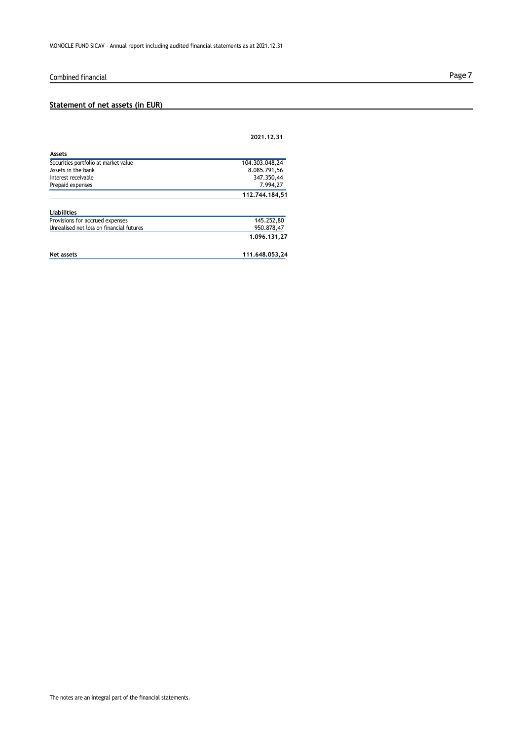# Combined financial **Page 7**

# **Statement of net assets (in EUR)**

|                                          | 2021.12.31     |
|------------------------------------------|----------------|
| <b>Assets</b>                            |                |
| Securities portfolio at market value     | 104.303.048,24 |
| Assets in the bank                       | 8.085.791,56   |
| Interest receivable                      | 347.350.44     |
| Prepaid expenses                         | 7.994.27       |
|                                          | 112.744.184.51 |
| <b>Liabilities</b>                       |                |
| Provisions for accrued expenses          | 145.252,80     |
| Unrealised net loss on financial futures | 950.878.47     |
|                                          | 1.096.131.27   |

| Net assets | 111.648.053.24 |
|------------|----------------|
|            |                |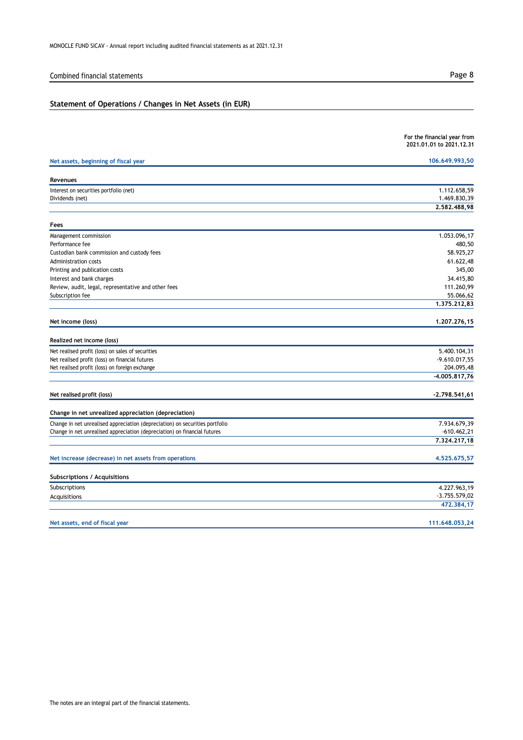# Combined financial statements **Page 8**

# **Statement of Operations / Changes in Net Assets (in EUR)**

|                                                                                                                                                           | For the financial year from<br>2021,01,01 to 2021,12,31 |
|-----------------------------------------------------------------------------------------------------------------------------------------------------------|---------------------------------------------------------|
| Net assets, beginning of fiscal year                                                                                                                      | 106.649.993,50                                          |
| Revenues                                                                                                                                                  |                                                         |
|                                                                                                                                                           |                                                         |
| Interest on securities portfolio (net)<br>Dividends (net)                                                                                                 | 1.112.658,59<br>1.469.830,39                            |
|                                                                                                                                                           | 2,582,488,98                                            |
| Fees                                                                                                                                                      |                                                         |
| Management commission                                                                                                                                     | 1.053.096,17                                            |
| Performance fee                                                                                                                                           | 480,50                                                  |
| Custodian bank commission and custody fees                                                                                                                | 58.925,27                                               |
| Administration costs                                                                                                                                      | 61.622,48                                               |
| Printing and publication costs                                                                                                                            | 345,00                                                  |
| Interest and bank charges                                                                                                                                 | 34.415,80                                               |
| Review, audit, legal, representative and other fees                                                                                                       | 111.260,99                                              |
| Subscription fee                                                                                                                                          | 55.066,62                                               |
|                                                                                                                                                           | 1.375.212,83                                            |
| Net income (loss)                                                                                                                                         | 1.207.276,15                                            |
| Realized net income (loss)                                                                                                                                |                                                         |
| Net realised profit (loss) on sales of securities                                                                                                         | 5.400.104,31                                            |
| Net realised profit (loss) on financial futures                                                                                                           | $-9.610.017,55$                                         |
| Net realised profit (loss) on foreign exchange                                                                                                            | 204.095,48                                              |
|                                                                                                                                                           | -4.005.817,76                                           |
| Net realised profit (loss)                                                                                                                                | $-2.798.541,61$                                         |
| Change in net unrealized appreciation (depreciation)                                                                                                      |                                                         |
|                                                                                                                                                           | 7.934.679,39                                            |
| Change in net unrealised appreciation (depreciation) on securities portfolio<br>Change in net unrealised appreciation (depreciation) on financial futures | $-610.462,21$                                           |
|                                                                                                                                                           | 7.324.217,18                                            |
| Net increase (decrease) in net assets from operations                                                                                                     | 4.525.675,57                                            |
|                                                                                                                                                           |                                                         |
| Subscriptions / Acquisitions                                                                                                                              |                                                         |
| Subscriptions                                                                                                                                             | 4.227.963,19                                            |
| Acquisitions                                                                                                                                              | $-3.755.579,02$                                         |
|                                                                                                                                                           | 472.384,17                                              |
| Net assets, end of fiscal year                                                                                                                            | 111.648.053,24                                          |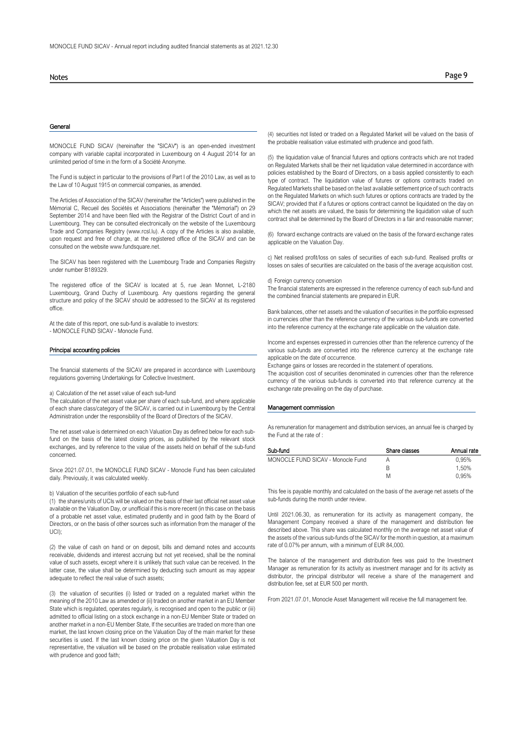### **General**

MONOCLE FUND SICAV (hereinafter the "SICAV") is an open-ended investment company with variable capital incorporated in Luxembourg on 4 August 2014 for an unlimited period of time in the form of a Société Anonyme.

The Fund is subject in particular to the provisions of Part I of the 2010 Law, as well as to the Law of 10 August 1915 on commercial companies, as amended.

The Articles of Association of the SICAV (hereinafter the "Articles") were published in the Mémorial C, Recueil des Sociétés et Associations (hereinafter the "Mémorial") on 29 September 2014 and have been filed with the Registrar of the District Court of and in Luxembourg. They can be consulted electronically on the website of the Luxembourg Trade and Companies Registry (www.rcsl.lu). A copy of the Articles is also available, upon request and free of charge, at the registered office of the SICAV and can be consulted on the websit[e www.fundsquare.net.](http://www.fundsquare.net/)

The SICAV has been registered with the Luxembourg Trade and Companies Registry under number B189329.

The registered office of the SICAV is located at 5, rue Jean Monnet, L-2180 Luxembourg, Grand Duchy of Luxembourg. Any questions regarding the general structure and policy of the SICAV should be addressed to the SICAV at its registered office.

At the date of this report, one sub-fund is available to investors:

- MONOCLE FUND SICAV - Monocle Fund.

### Principal accounting policies

The financial statements of the SICAV are prepared in accordance with Luxembourg regulations governing Undertakings for Collective Investment.

a) Calculation of the net asset value of each sub-fund

The calculation of the net asset value per share of each sub-fund, and where applicable of each share class/category of the SICAV, is carried out in Luxembourg by the Central Administration under the responsibility of the Board of Directors of the SICAV.

The net asset value is determined on each Valuation Day as defined below for each subfund on the basis of the latest closing prices, as published by the relevant stock exchanges, and by reference to the value of the assets held on behalf of the sub-fund concerned.

Since 2021.07.01, the MONOCLE FUND SICAV - Monocle Fund has been calculated daily. Previously, it was calculated weekly.

### b) Valuation of the securities portfolio of each sub-fund

(1) the shares/units of UCIs will be valued on the basis of their last official net asset value available on the Valuation Day, or unofficial if this is more recent (in this case on the basis of a probable net asset value, estimated prudently and in good faith by the Board of Directors, or on the basis of other sources such as information from the manager of the UCI);

(2) the value of cash on hand or on deposit, bills and demand notes and accounts receivable, dividends and interest accruing but not yet received, shall be the nominal value of such assets, except where it is unlikely that such value can be received. In the latter case, the value shall be determined by deducting such amount as may appear adequate to reflect the real value of such assets;

(3) the valuation of securities (i) listed or traded on a regulated market within the meaning of the 2010 Law as amended or (ii) traded on another market in an EU Member State which is regulated, operates regularly, is recognised and open to the public or (iii) admitted to official listing on a stock exchange in a non-EU Member State or traded on another market in a non-EU Member State, If the securities are traded on more than one market, the last known closing price on the Valuation Day of the main market for these securities is used. If the last known closing price on the given Valuation Day is not representative, the valuation will be based on the probable realisation value estimated with prudence and good faith;

(4) securities not listed or traded on a Regulated Market will be valued on the basis of the probable realisation value estimated with prudence and good faith.

(5) the liquidation value of financial futures and options contracts which are not traded on Regulated Markets shall be their net liquidation value determined in accordance with policies established by the Board of Directors, on a basis applied consistently to each type of contract. The liquidation value of futures or options contracts traded on Regulated Markets shall be based on the last available settlement price of such contracts on the Regulated Markets on which such futures or options contracts are traded by the SICAV; provided that if a futures or options contract cannot be liquidated on the day on which the net assets are valued, the basis for determining the liquidation value of such contract shall be determined by the Board of Directors in a fair and reasonable manner;

(6) forward exchange contracts are valued on the basis of the forward exchange rates applicable on the Valuation Day.

c) Net realised profit/loss on sales of securities of each sub-fund. Realised profits or losses on sales of securities are calculated on the basis of the average acquisition cost.

### d) Foreign currency conversion

The financial statements are expressed in the reference currency of each sub-fund and the combined financial statements are prepared in EUR.

Bank balances, other net assets and the valuation of securities in the portfolio expressed in currencies other than the reference currency of the various sub-funds are converted into the reference currency at the exchange rate applicable on the valuation date.

Income and expenses expressed in currencies other than the reference currency of the various sub-funds are converted into the reference currency at the exchange rate applicable on the date of occurrence.

Exchange gains or losses are recorded in the statement of operations.

The acquisition cost of securities denominated in currencies other than the reference currency of the various sub-funds is converted into that reference currency at the exchange rate prevailing on the day of purchase.

### Management commission

As remuneration for management and distribution services, an annual fee is charged by the Fund at the rate of :

| Share classes | Annual rate |
|---------------|-------------|
| А             | 0.95%       |
| B             | 1.50%       |
| M             | 0.95%       |
|               |             |

This fee is payable monthly and calculated on the basis of the average net assets of the sub-funds during the month under review.

Until 2021.06.30, as remuneration for its activity as management company, the Management Company received a share of the management and distribution fee described above. This share was calculated monthly on the average net asset value of the assets of the various sub-funds of the SICAV for the month in question, at a maximum rate of 0.07% per annum, with a minimum of EUR 84,000.

The balance of the management and distribution fees was paid to the Investment Manager as remuneration for its activity as investment manager and for its activity as distributor, the principal distributor will receive a share of the management and distribution fee, set at EUR 500 per month.

From 2021.07.01, Monocle Asset Management will receive the full management fee.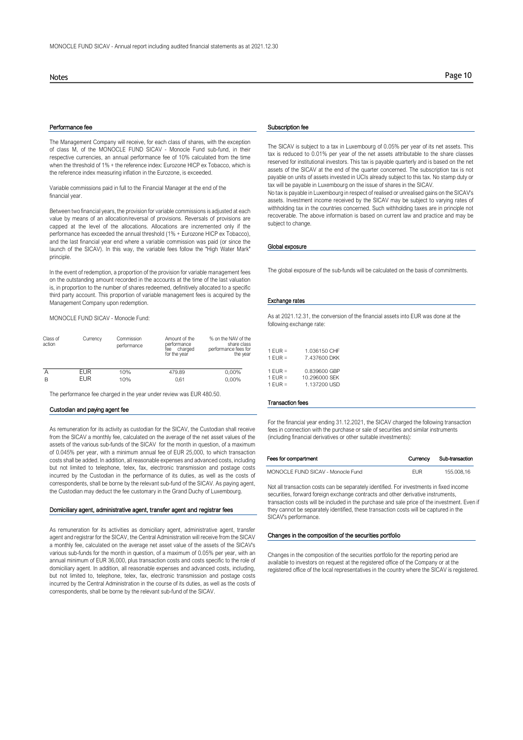### Performance fee Subscription fee Subscription fee

The Management Company will receive, for each class of shares, with the exception of class M, of the MONOCLE FUND SICAV - Monocle Fund sub-fund, in their respective currencies, an annual performance fee of 10% calculated from the time when the threshold of 1% + the reference index: Eurozone HICP ex Tobacco, which is the reference index measuring inflation in the Eurozone, is exceeded.

Variable commissions paid in full to the Financial Manager at the end of the financial year.

Between two financial years, the provision for variable commissions is adjusted at each value by means of an allocation/reversal of provisions. Reversals of provisions are capped at the level of the allocations. Allocations are incremented only if the performance has exceeded the annual threshold (1% + Eurozone HICP ex Tobacco), and the last financial year end where a variable commission was paid (or since the launch of the SICAV). In this way, the variable fees follow the "High Water Mark" principle.

In the event of redemption, a proportion of the provision for variable management fees on the outstanding amount recorded in the accounts at the time of the last valuation is, in proportion to the number of shares redeemed, definitively allocated to a specific third party account. This proportion of variable management fees is acquired by the Management Company upon redemption.

MONOCLE FUND SICAV - Monocle Fund:

| Class of<br>action | Currency   | Commission<br>performance | Amount of the<br>performance<br>charged<br>fee<br>for the year | % on the NAV of the<br>share class<br>performance fees for<br>the year |
|--------------------|------------|---------------------------|----------------------------------------------------------------|------------------------------------------------------------------------|
| Α                  | <b>FUR</b> | 10%                       | 479.89                                                         | 0,00%                                                                  |
| B                  | <b>EUR</b> | 10%                       | 0.61                                                           | 0,00%                                                                  |

The performance fee charged in the year under review was EUR 480.50.

### Custodian and paying agent fee

As remuneration for its activity as custodian for the SICAV, the Custodian shall receive from the SICAV a monthly fee, calculated on the average of the net asset values of the assets of the various sub-funds of the SICAV for the month in question, of a maximum of 0.045% per year, with a minimum annual fee of EUR 25,000, to which transaction costs shall be added. In addition, all reasonable expenses and advanced costs, including but not limited to telephone, telex, fax, electronic transmission and postage costs incurred by the Custodian in the performance of its duties, as well as the costs of correspondents, shall be borne by the relevant sub-fund of the SICAV. As paying agent, the Custodian may deduct the fee customary in the Grand Duchy of Luxembourg.

### Domiciliary agent, administrative agent, transfer agent and registrar fees

As remuneration for its activities as domiciliary agent, administrative agent, transfer agent and registrar for the SICAV, the Central Administration will receive from the SICAV a monthly fee, calculated on the average net asset value of the assets of the SICAV's various sub-funds for the month in question, of a maximum of 0.05% per year, with an annual minimum of EUR 36,000, plus transaction costs and costs specific to the role of domiciliary agent. In addition, all reasonable expenses and advanced costs, including, but not limited to, telephone, telex, fax, electronic transmission and postage costs incurred by the Central Administration in the course of its duties, as well as the costs of correspondents, shall be borne by the relevant sub-fund of the SICAV.

The SICAV is subject to a tax in Luxembourg of 0.05% per year of its net assets. This tax is reduced to 0.01% per year of the net assets attributable to the share classes reserved for institutional investors. This tax is payable quarterly and is based on the net assets of the SICAV at the end of the quarter concerned. The subscription tax is not payable on units of assets invested in UCIs already subject to this tax. No stamp duty or tax will be payable in Luxembourg on the issue of shares in the SICAV.

No tax is payable in Luxembourg in respect of realised or unrealised gains on the SICAV's assets. Investment income received by the SICAV may be subject to varying rates of withholding tax in the countries concerned. Such withholding taxes are in principle not recoverable. The above information is based on current law and practice and may be subject to change.

### Global exposure

The global exposure of the sub-funds will be calculated on the basis of commitments.

### Exchange rates

As at 2021.12.31, the conversion of the financial assets into EUR was done at the following exchange rate:

| II E UIdSS<br>fees for<br>the year | $1$ FUR =<br>$1$ FUR =              | 1.036150 CHF<br>7.437600 DKK                  |
|------------------------------------|-------------------------------------|-----------------------------------------------|
| $\frac{9}{6}$<br>9%                | $1$ FUR =<br>$1$ FUR =<br>$1$ FUR = | 0.839600 GBP<br>10.296000 SFK<br>1.137200 USD |

### Transaction fees

For the financial year ending 31.12.2021, the SICAV charged the following transaction fees in connection with the purchase or sale of securities and similar instruments (including financial derivatives or other suitable investments):

| Fees for compartment              | Currency | Sub-transaction |
|-----------------------------------|----------|-----------------|
| MONOCLE FUND SICAV - Monocle Fund | FUR      | 155.008.16      |

Not all transaction costs can be separately identified. For investments in fixed income securities, forward foreign exchange contracts and other derivative instruments, transaction costs will be included in the purchase and sale price of the investment. Even if they cannot be separately identified, these transaction costs will be captured in the SICAV's performance.

### Changes in the composition of the securities portfolio

Changes in the composition of the securities portfolio for the reporting period are available to investors on request at the registered office of the Company or at the registered office of the local representatives in the country where the SICAV is registered.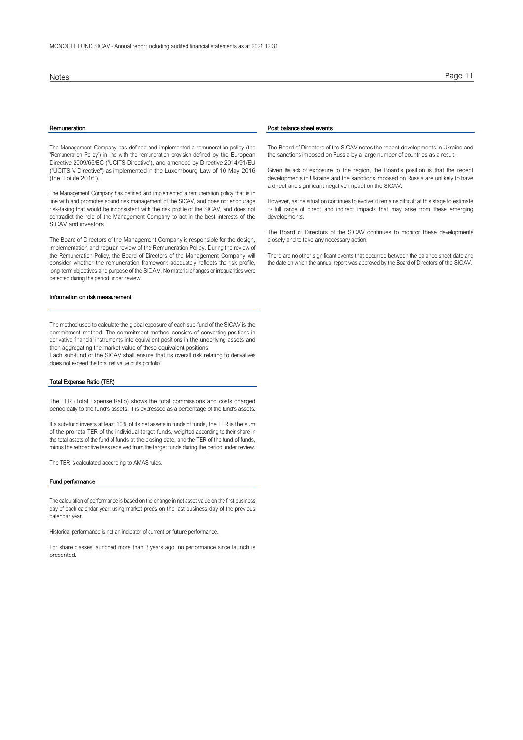The Management Company has defined and implemented a remuneration policy (the "Remuneration Policy") in line with the remuneration provision defined by the European Directive 2009/65/EC ("UCITS Directive"), and amended by Directive 2014/91/EU ("UCITS V Directive") as implemented in the Luxembourg Law of 10 May 2016 (the "Loi de 2016").

The Management Company has defined and implemented a remuneration policy that is in line with and promotes sound risk management of the SICAV, and does not encourage risk-taking that would be inconsistent with the risk profile of the SICAV, and does not contradict the role of the Management Company to act in the best interests of the SICAV and investors.

The Board of Directors of the Management Company is responsible for the design, implementation and regular review of the Remuneration Policy. During the review of the Remuneration Policy, the Board of Directors of the Management Company will consider whether the remuneration framework adequately reflects the risk profile, long-term objectives and purpose of the SICAV. No material changes or irregularities were detected during the period under review.

### Information on risk measurement

The method used to calculate the global exposure of each sub-fund of the SICAV is the commitment method. The commitment method consists of converting positions in derivative financial instruments into equivalent positions in the underlying assets and then aggregating the market value of these equivalent positions.

Each sub-fund of the SICAV shall ensure that its overall risk relating to derivatives does not exceed the total net value of its portfolio.

### Total Expense Ratio (TER)

The TER (Total Expense Ratio) shows the total commissions and costs charged periodically to the fund's assets. It is expressed as a percentage of the fund's assets.

If a sub-fund invests at least 10% of its net assets in funds of funds, the TER is the sum of the pro rata TER of the individual target funds, weighted according to their share in the total assets of the fund of funds at the closing date, and the TER of the fund of funds, minus the retroactive fees received from the target funds during the period under review.

The TER is calculated according to AMAS rules.

### Fund performance

The calculation of performance is based on the change in net asset value on the first business day of each calendar year, using market prices on the last business day of the previous calendar year.

Historical performance is not an indicator of current or future performance.

For share classes launched more than 3 years ago, no performance since launch is presented.

### Notes Page 11

### Remuneration **Post balance sheet events**

The Board of Directors of the SICAV notes the recent developments in Ukraine and the sanctions imposed on Russia by a large number of countries as a result.

Given the lack of exposure to the region, the Board's position is that the recent developments in Ukraine and the sanctions imposed on Russia are unlikely to have a direct and significant negative impact on the SICAV.

However, as the situation continues to evolve, it remains difficult at this stage to estimate the full range of direct and indirect impacts that may arise from these emerging developments.

The Board of Directors of the SICAV continues to monitor these developments closely and to take any necessary action.

There are no other significant events that occurred between the balance sheet date and the date on which the annual report was approved by the Board of Directors of the SICAV.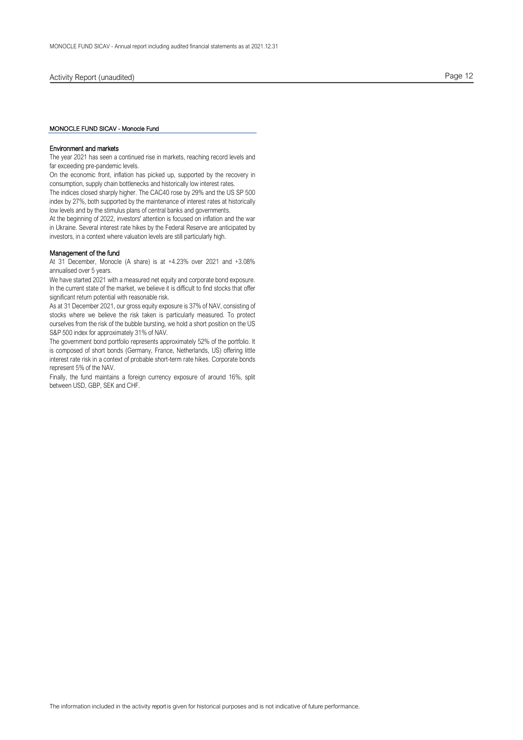### MONOCLE FUND SICAV - Monocle Fund

### Environment and markets

The year 2021 has seen a continued rise in markets, reaching record levels and far exceeding pre-pandemic levels.

On the economic front, inflation has picked up, supported by the recovery in consumption, supply chain bottlenecks and historically low interest rates.

The indices closed sharply higher. The CAC40 rose by 29% and the US SP 500 index by 27%, both supported by the maintenance of interest rates at historically low levels and by the stimulus plans of central banks and governments.

At the beginning of 2022, investors' attention is focused on inflation and the war in Ukraine. Several interest rate hikes by the Federal Reserve are anticipated by investors, in a context where valuation levels are still particularly high.

### Management of the fund

At 31 December, Monocle (A share) is at +4.23% over 2021 and +3.08% annualised over 5 years.

We have started 2021 with a measured net equity and corporate bond exposure. In the current state of the market, we believe it is difficult to find stocks that offer significant return potential with reasonable risk.

As at 31 December 2021, our gross equity exposure is 37% of NAV, consisting of stocks where we believe the risk taken is particularly measured. To protect ourselves from the risk of the bubble bursting, we hold a short position on the US S&P 500 index for approximately 31% of NAV.

The government bond portfolio represents approximately 52% of the portfolio. It is composed of short bonds (Germany, France, Netherlands, US) offering little interest rate risk in a context of probable short-term rate hikes. Corporate bonds represent 5% of the NAV.

Finally, the fund maintains a foreign currency exposure of around 16%, split between USD, GBP, SEK and CHF.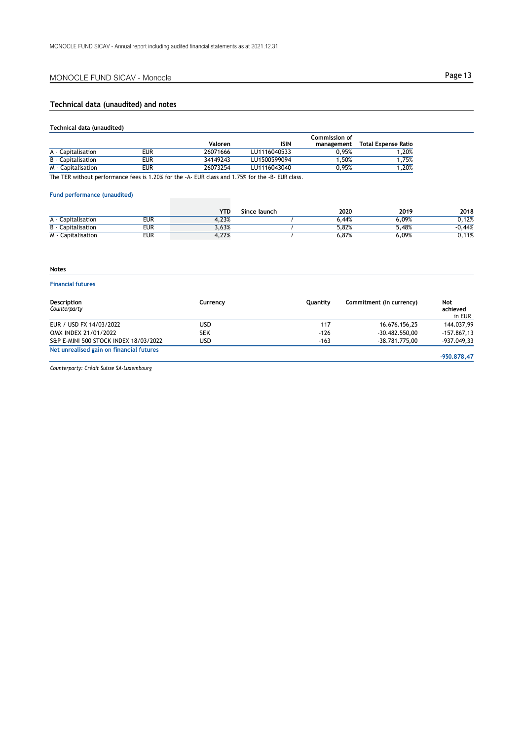# **Technical data (unaudited) and notes**

### **Technical data (unaudited)**

|                    |     |          |              | Commission of |                     |
|--------------------|-----|----------|--------------|---------------|---------------------|
|                    |     | Valoren  | <b>ISIN</b>  | management    | Total Expense Ratio |
| A - Capitalisation | eur | 26071666 | LU1116040533 | 0.95%         | .20%                |
| B - Capitalisation | eur | 34149243 | LU1500599094 | .50%          | .75%                |
| M - Capitalisation | eur | 26073254 | LU1116043040 | 0.95%         | .20%                |

The TER without performance fees is 1.20% for the -A- EUR class and 1.75% for the -B- EUR class.

### **Fund performance (unaudited)**

|                       |            | <b>YTD</b> | Since launch | 2020       | 2019  | 2018          |
|-----------------------|------------|------------|--------------|------------|-------|---------------|
| apitalisation.<br>А-  | eur        | 4.23%      |              | .44%<br>u. | 6.09% | 0,12%         |
| B -<br>Capitalisation | eur        | 3,63%      |              | 5,82%      | 5.48% | .44%          |
| M -<br>Capitalisation | <b>EUR</b> | 4,22%      |              | 6,87%      | 6.09% | 119<br>U.II70 |

# **Notes**

# **Financial futures**

| Description<br>Counterparty              | Currency   | Ouantity | Commitment (in currency) | Not<br>achieved<br>in EUR |
|------------------------------------------|------------|----------|--------------------------|---------------------------|
| EUR / USD FX 14/03/2022                  | USD.       | 117      | 16.676.156,25            | 144.037.99                |
| OMX INDEX 21/01/2022                     | <b>SEK</b> | $-126$   | $-30.482.550.00$         | $-157.867.13$             |
| S&P E-MINI 500 STOCK INDEX 18/03/2022    | USD.       | $-163$   | -38.781.775.00           | -937.049,33               |
| Net unrealised gain on financial futures |            |          |                          |                           |
|                                          |            |          |                          | -950.878.47               |

*Counterparty: Crédit Suisse SA-Luxembourg*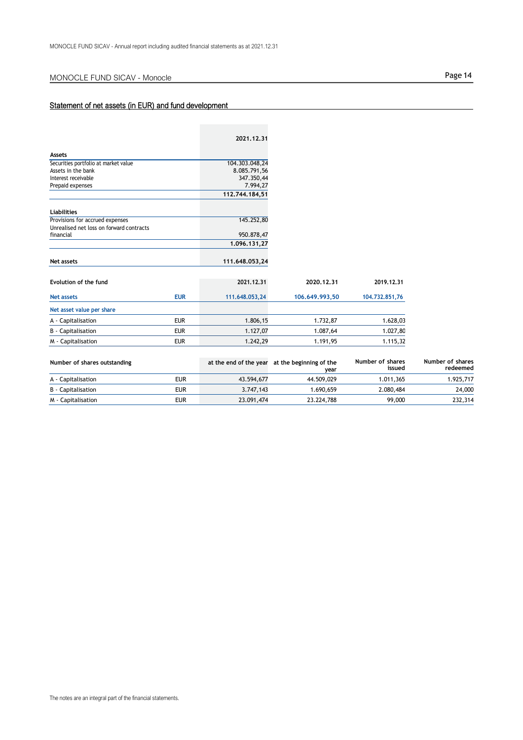# Statement of net assets (in EUR) and fund development

|                                          |            | 2021.12.31     |                |                |
|------------------------------------------|------------|----------------|----------------|----------------|
| <b>Assets</b>                            |            |                |                |                |
| Securities portfolio at market value     |            | 104.303.048,24 |                |                |
| Assets in the bank                       |            | 8.085.791,56   |                |                |
| Interest receivable                      |            | 347.350,44     |                |                |
| Prepaid expenses                         |            | 7.994,27       |                |                |
|                                          |            | 112,744,184,51 |                |                |
| <b>Liabilities</b>                       |            |                |                |                |
| Provisions for accrued expenses          |            | 145.252,80     |                |                |
| Unrealised net loss on forward contracts |            |                |                |                |
| financial                                |            | 950.878,47     |                |                |
|                                          |            | 1.096.131,27   |                |                |
|                                          |            |                |                |                |
| Net assets                               |            | 111.648.053,24 |                |                |
|                                          |            |                |                |                |
| Evolution of the fund                    |            | 2021.12.31     | 2020.12.31     | 2019.12.31     |
| <b>Net assets</b>                        | <b>EUR</b> | 111.648.053,24 | 106.649.993,50 | 104,732,851,76 |
| Net asset value per share                |            |                |                |                |
| A - Capitalisation                       | <b>EUR</b> | 1.806,15       | 1.732,87       | 1.628,03       |
| <b>B</b> - Capitalisation                | <b>EUR</b> | 1.127,07       | 1.087,64       | 1.027,80       |
| M - Capitalisation                       | <b>EUR</b> | 1.242,29       | 1.191,95       | 1.115,32       |

| Number of shares outstanding |            |            | at the end of the year at the beginning of the<br>vear | Number of shares<br>issued | Number of shares<br>redeemed |
|------------------------------|------------|------------|--------------------------------------------------------|----------------------------|------------------------------|
| A - Capitalisation           | eur        | 43.594.677 | 44.509.029                                             | 1.011.365                  | 1.925.717                    |
| B - Capitalisation           | eur        | 3.747.143  | 1.690.659                                              | 2.080.484                  | 24,000                       |
| M - Capitalisation           | <b>EUR</b> | 23.091,474 | 23.224.788                                             | 99,000                     | 232,314                      |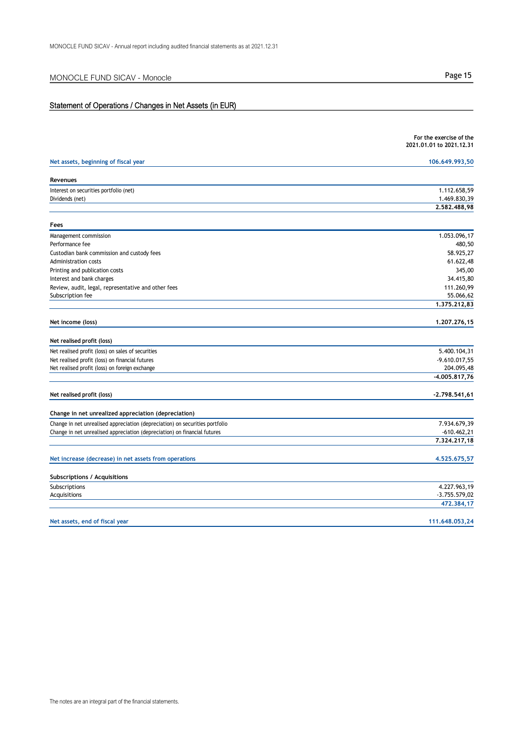# Statement of Operations / Changes in Net Assets (in EUR)

|                                                                              | For the exercise of the<br>2021.01.01 to 2021.12.31 |
|------------------------------------------------------------------------------|-----------------------------------------------------|
| Net assets, beginning of fiscal year                                         | 106.649.993,50                                      |
| Revenues                                                                     |                                                     |
| Interest on securities portfolio (net)                                       | 1.112.658,59                                        |
| Dividends (net)                                                              | 1.469.830,39                                        |
|                                                                              | 2.582.488,98                                        |
| Fees                                                                         |                                                     |
| Management commission                                                        | 1.053.096,17                                        |
| Performance fee                                                              | 480,50                                              |
| Custodian bank commission and custody fees                                   | 58.925,27                                           |
| Administration costs                                                         | 61.622,48                                           |
| Printing and publication costs                                               | 345,00                                              |
| Interest and bank charges                                                    | 34.415,80                                           |
| Review, audit, legal, representative and other fees                          | 111.260,99                                          |
| Subscription fee                                                             | 55.066,62                                           |
|                                                                              | 1.375.212,83                                        |
| Net income (loss)                                                            | 1.207.276,15                                        |
| Net realised profit (loss)                                                   |                                                     |
| Net realised profit (loss) on sales of securities                            | 5.400.104,31                                        |
| Net realised profit (loss) on financial futures                              | $-9.610.017,55$                                     |
| Net realised profit (loss) on foreign exchange                               | 204.095,48                                          |
|                                                                              | $-4.005.817,76$                                     |
| Net realised profit (loss)                                                   | $-2.798.541,61$                                     |
|                                                                              |                                                     |
| Change in net unrealized appreciation (depreciation)                         |                                                     |
| Change in net unrealised appreciation (depreciation) on securities portfolio | 7.934.679,39                                        |
| Change in net unrealised appreciation (depreciation) on financial futures    | $-610.462,21$<br>7.324.217,18                       |
|                                                                              |                                                     |
| Net increase (decrease) in net assets from operations                        | 4,525,675,57                                        |
| <b>Subscriptions / Acquisitions</b>                                          |                                                     |
| Subscriptions                                                                | 4.227.963,19                                        |
| Acquisitions                                                                 | $-3.755.579,02$                                     |
|                                                                              | 472.384,17                                          |
| Net assets, end of fiscal year                                               | 111.648.053,24                                      |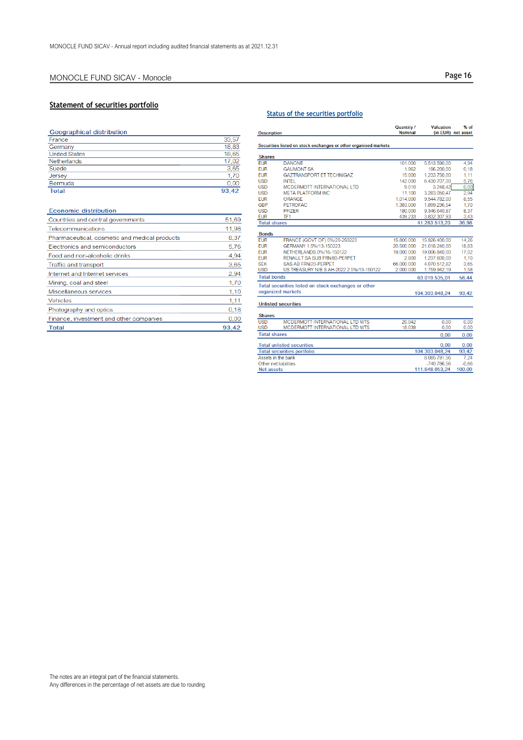# **Statement of securities portfolio**

| <b>Geographical distribution</b> |       |
|----------------------------------|-------|
| France                           | 33,57 |
| Germany                          | 18.83 |
| <b>United States</b>             | 18.65 |
| Netherlands                      | 17.02 |
| Suede                            | 3.65  |
| Jersey                           | 1.70  |
| Bermuda                          | 0.00  |
| <b>Total</b>                     | 93.42 |

| <b>Economic distribution</b>                  |       |
|-----------------------------------------------|-------|
| Countries and central governments             | 51,69 |
| Telecommunications                            | 11,98 |
| Pharmaceutical, cosmetic and medical products | 8,37  |
| Electronics and semiconductors                | 5,76  |
| Food and non-alcoholic drinks                 | 4,94  |
| Traffic and transport                         | 3,65  |
| Internet and Internet services                | 2,94  |
| Mining, coal and steel                        | 1,70  |
| Miscellaneous services                        | 1,10  |
| <b>Vehicles</b>                               | 1,11  |
| Photography and optics                        | 0,18  |
| Finance, investment and other companies       | 0,00  |
| <b>Total</b>                                  | 93,42 |

### **Status of the securities portfolio**

| <b>Description</b>         |                                                                 | Quantity /<br><b>Nominal</b> | <b>Valuation</b> | % of<br>(in EUR) net asset |
|----------------------------|-----------------------------------------------------------------|------------------------------|------------------|----------------------------|
|                            | Securities listed on stock exchanges or other organised markets |                              |                  |                            |
| <b>Shares</b>              |                                                                 |                              |                  |                            |
| <b>FUR</b>                 | <b>DANONE</b>                                                   | 101.000                      | 5.513.590,00     | 4.94                       |
| <b>FUR</b>                 | <b>GAUMONT SA</b>                                               | 1.962                        | 196,200.00       | 0.18                       |
| <b>FUR</b>                 | <b>GAZTRANSPORT FT TECHNIGAZ</b>                                | 15 000                       | 1.233.750.00     | 1.11                       |
| <b>USD</b>                 | <b>INTEL</b>                                                    | 142,000                      | 6.430.707.00     | 5.76                       |
| <b>USD</b>                 | MCDERMOTT INTERNATIONAL LTD                                     | 9.010                        | 3.248,42         | 0,00                       |
| <b>USD</b>                 | <b>META PLATFORM INC</b>                                        | 11.100                       | 3.283.050.47     | 2.94                       |
| <b>EUR</b>                 | ORANGE                                                          | 1.014.000                    | 9.544.782,00     | 8,55                       |
| <b>GBP</b>                 | <b>PETROFAC</b>                                                 | 1.383.000                    | 1.899.236,54     | 1,70                       |
| <b>USD</b>                 | <b>PFIZER</b>                                                   | 180.000                      | 9.346.640.87     | 8.37                       |
| <b>EUR</b>                 | TF <sub>1</sub>                                                 | 439.233                      | 3.832.307,93     | 3,43                       |
| <b>Total shares</b>        |                                                                 |                              | 41.283.513,23    | 36,98                      |
| <b>Bonds</b>               |                                                                 |                              |                  |                            |
| <b>FUR</b>                 | FRANCE (GOVT OF) 0%/20-250223                                   | 15 800 000                   | 15.926.400,00    | 14,26                      |
| <b>EUR</b>                 | GERMANY 1.5%/13-150223                                          | 20.500.000                   | 21.018.240,00    | 18.83                      |
| <b>EUR</b>                 | NETHERLANDS 0%/16-150122                                        | 19.000.000                   | 19.006.840.00    | 17.02                      |
| <b>EUR</b>                 | RENAULT SA SUB FRN/83-PERPET                                    | 2.800                        | 1.237.600,00     | 1,10                       |
| <b>SEK</b>                 | <b>SAS AB FRN/20-PERPET</b>                                     | 66.000.000                   | 4.070.512.82     | 3.65                       |
| <b>USD</b>                 | US TREASURY N/B S AH-2022 2.5%/19-150122                        | 2.000.000                    | 1.759.942,19     | 1,58                       |
| <b>Total bonds</b>         |                                                                 | 63.019.535,01                |                  | 56,44                      |
|                            | Total securities listed on stock exchanges or other             |                              |                  |                            |
| organized markets          |                                                                 |                              | 104.303.048,24   | 93,42                      |
| <b>Unlisted securities</b> |                                                                 |                              |                  |                            |
| <b>Shares</b>              |                                                                 |                              |                  |                            |
| <b>USD</b>                 | MCDERMOTT INTERNATIONAL LTD WTS                                 | 20.042                       | 0.00             | 0.00                       |
| <b>USD</b>                 | MCDERMOTT INTERNATIONAL LTD WTS                                 | 18.038                       | 0,00             | 0.00                       |
| <b>Total shares</b>        |                                                                 |                              | 0,00             | 0,00                       |
|                            | <b>Total unlisted securities</b>                                |                              | 0,00             | 0,00                       |
|                            | <b>Total securities portfolio</b>                               |                              | 104.303.048,24   | 93,42                      |
| Assets in the bank         |                                                                 |                              | 8.085.791.56     | 7.24                       |
| Other net liabilities      |                                                                 |                              | -740.786.56      | $-0.66$                    |
| Net assets                 |                                                                 |                              | 111.648.053.24   | 100,00                     |